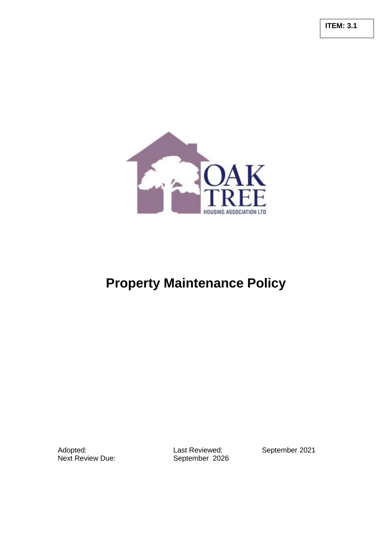**ITEM: 3.1**



# **Property Maintenance Policy**

Adopted: Cast Reviewed: Cast Reviewed: September 2021<br>
Next Review Due: September 2026

September 2026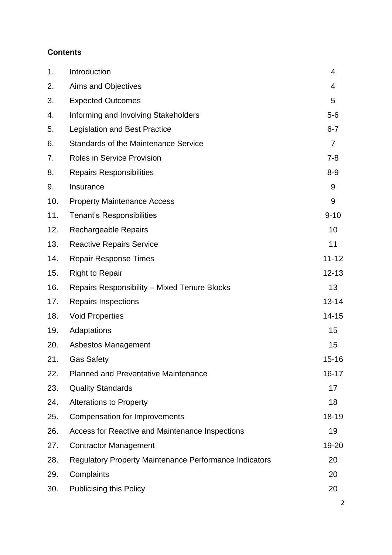## **Contents**

| 1.  | Introduction                                                  | 4              |
|-----|---------------------------------------------------------------|----------------|
| 2.  | Aims and Objectives                                           | 4              |
| 3.  | <b>Expected Outcomes</b>                                      | 5              |
| 4.  | Informing and Involving Stakeholders                          | $5-6$          |
| 5.  | <b>Legislation and Best Practice</b>                          | $6 - 7$        |
| 6.  | <b>Standards of the Maintenance Service</b>                   | $\overline{7}$ |
| 7.  | <b>Roles in Service Provision</b>                             | $7 - 8$        |
| 8.  | <b>Repairs Responsibilities</b>                               | $8-9$          |
| 9.  | Insurance                                                     | 9              |
| 10. | <b>Property Maintenance Access</b>                            | 9              |
| 11. | <b>Tenant's Responsibilities</b>                              | $9 - 10$       |
| 12. | <b>Rechargeable Repairs</b>                                   | 10             |
| 13. | <b>Reactive Repairs Service</b>                               | 11             |
| 14. | <b>Repair Response Times</b>                                  | $11 - 12$      |
| 15. | <b>Right to Repair</b>                                        | $12 - 13$      |
| 16. | <b>Repairs Responsibility – Mixed Tenure Blocks</b>           | 13             |
| 17. | <b>Repairs Inspections</b>                                    | $13 - 14$      |
| 18. | <b>Void Properties</b>                                        | $14 - 15$      |
| 19. | Adaptations                                                   | 15             |
| 20. | Asbestos Management                                           | 15             |
| 21. | <b>Gas Safety</b>                                             | $15 - 16$      |
| 22. | <b>Planned and Preventative Maintenance</b>                   | 16-17          |
| 23. | <b>Quality Standards</b>                                      | 17             |
| 24. | <b>Alterations to Property</b>                                | 18             |
| 25. | <b>Compensation for Improvements</b>                          | 18-19          |
| 26. | Access for Reactive and Maintenance Inspections               | 19             |
| 27. | <b>Contractor Management</b>                                  | 19-20          |
| 28. | <b>Regulatory Property Maintenance Performance Indicators</b> | 20             |
| 29. | Complaints                                                    | 20             |
| 30. | <b>Publicising this Policy</b>                                | 20             |
|     |                                                               |                |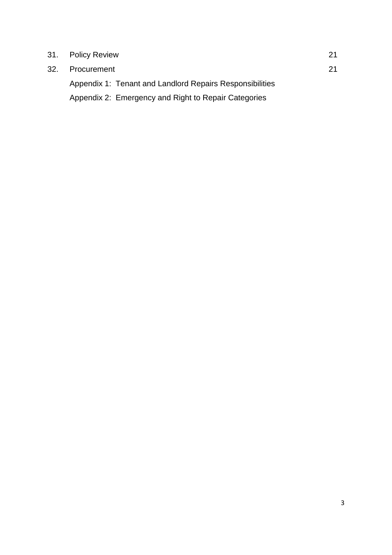| 31. Policy Review                                        | 21 |
|----------------------------------------------------------|----|
| 32. Procurement                                          | 21 |
| Appendix 1: Tenant and Landlord Repairs Responsibilities |    |
| Appendix 2: Emergency and Right to Repair Categories     |    |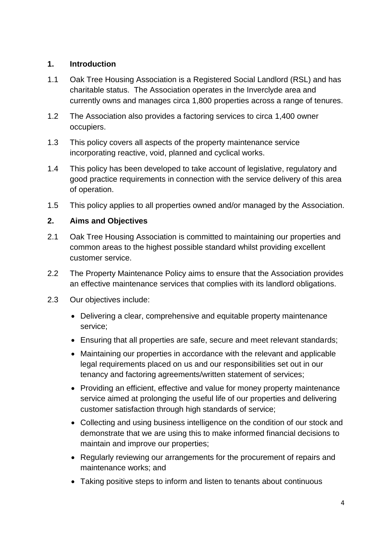## **1. Introduction**

- 1.1 Oak Tree Housing Association is a Registered Social Landlord (RSL) and has charitable status. The Association operates in the Inverclyde area and currently owns and manages circa 1,800 properties across a range of tenures.
- 1.2 The Association also provides a factoring services to circa 1,400 owner occupiers.
- 1.3 This policy covers all aspects of the property maintenance service incorporating reactive, void, planned and cyclical works.
- 1.4 This policy has been developed to take account of legislative, regulatory and good practice requirements in connection with the service delivery of this area of operation.
- 1.5 This policy applies to all properties owned and/or managed by the Association.

## **2. Aims and Objectives**

- 2.1 Oak Tree Housing Association is committed to maintaining our properties and common areas to the highest possible standard whilst providing excellent customer service.
- 2.2 The Property Maintenance Policy aims to ensure that the Association provides an effective maintenance services that complies with its landlord obligations.
- 2.3 Our objectives include:
	- Delivering a clear, comprehensive and equitable property maintenance service;
	- Ensuring that all properties are safe, secure and meet relevant standards;
	- Maintaining our properties in accordance with the relevant and applicable legal requirements placed on us and our responsibilities set out in our tenancy and factoring agreements/written statement of services;
	- Providing an efficient, effective and value for money property maintenance service aimed at prolonging the useful life of our properties and delivering customer satisfaction through high standards of service;
	- Collecting and using business intelligence on the condition of our stock and demonstrate that we are using this to make informed financial decisions to maintain and improve our properties;
	- Regularly reviewing our arrangements for the procurement of repairs and maintenance works; and
	- Taking positive steps to inform and listen to tenants about continuous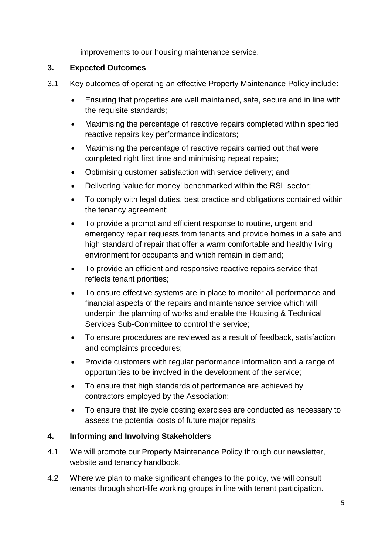improvements to our housing maintenance service.

## **3. Expected Outcomes**

- 3.1 Key outcomes of operating an effective Property Maintenance Policy include:
	- Ensuring that properties are well maintained, safe, secure and in line with the requisite standards;
	- Maximising the percentage of reactive repairs completed within specified reactive repairs key performance indicators;
	- Maximising the percentage of reactive repairs carried out that were completed right first time and minimising repeat repairs;
	- Optimising customer satisfaction with service delivery; and
	- Delivering 'value for money' benchmarked within the RSL sector;
	- To comply with legal duties, best practice and obligations contained within the tenancy agreement;
	- To provide a prompt and efficient response to routine, urgent and emergency repair requests from tenants and provide homes in a safe and high standard of repair that offer a warm comfortable and healthy living environment for occupants and which remain in demand;
	- To provide an efficient and responsive reactive repairs service that reflects tenant priorities;
	- To ensure effective systems are in place to monitor all performance and financial aspects of the repairs and maintenance service which will underpin the planning of works and enable the Housing & Technical Services Sub-Committee to control the service;
	- To ensure procedures are reviewed as a result of feedback, satisfaction and complaints procedures;
	- Provide customers with regular performance information and a range of opportunities to be involved in the development of the service;
	- To ensure that high standards of performance are achieved by contractors employed by the Association;
	- To ensure that life cycle costing exercises are conducted as necessary to assess the potential costs of future major repairs;

## **4. Informing and Involving Stakeholders**

- 4.1 We will promote our Property Maintenance Policy through our newsletter, website and tenancy handbook.
- 4.2 Where we plan to make significant changes to the policy, we will consult tenants through short-life working groups in line with tenant participation.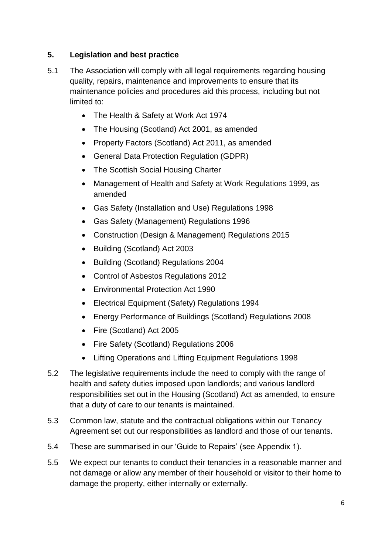## **5. Legislation and best practice**

- 5.1 The Association will comply with all legal requirements regarding housing quality, repairs, maintenance and improvements to ensure that its maintenance policies and procedures aid this process, including but not limited to:
	- The Health & Safety at Work Act 1974
	- The Housing (Scotland) Act 2001, as amended
	- Property Factors (Scotland) Act 2011, as amended
	- General Data Protection Regulation (GDPR)
	- The Scottish Social Housing Charter
	- Management of Health and Safety at Work Regulations 1999, as amended
	- Gas Safety (Installation and Use) Regulations 1998
	- Gas Safety (Management) Regulations 1996
	- Construction (Design & Management) Regulations 2015
	- Building (Scotland) Act 2003
	- Building (Scotland) Regulations 2004
	- Control of Asbestos Regulations 2012
	- Environmental Protection Act 1990
	- Electrical Equipment (Safety) Regulations 1994
	- Energy Performance of Buildings (Scotland) Regulations 2008
	- Fire (Scotland) Act 2005
	- Fire Safety (Scotland) Regulations 2006
	- Lifting Operations and Lifting Equipment Regulations 1998
- 5.2 The legislative requirements include the need to comply with the range of health and safety duties imposed upon landlords; and various landlord responsibilities set out in the Housing (Scotland) Act as amended, to ensure that a duty of care to our tenants is maintained.
- 5.3 Common law, statute and the contractual obligations within our Tenancy Agreement set out our responsibilities as landlord and those of our tenants.
- 5.4 These are summarised in our 'Guide to Repairs' (see Appendix 1).
- 5.5 We expect our tenants to conduct their tenancies in a reasonable manner and not damage or allow any member of their household or visitor to their home to damage the property, either internally or externally.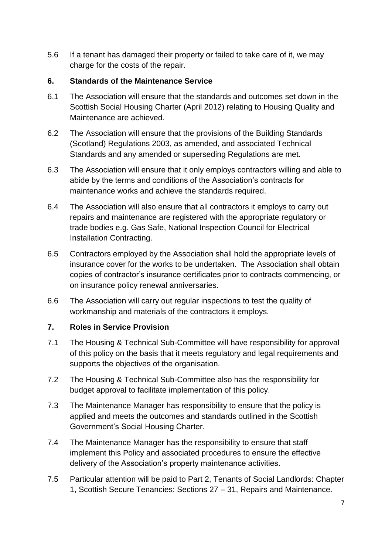5.6 If a tenant has damaged their property or failed to take care of it, we may charge for the costs of the repair.

## **6. Standards of the Maintenance Service**

- 6.1 The Association will ensure that the standards and outcomes set down in the Scottish Social Housing Charter (April 2012) relating to Housing Quality and Maintenance are achieved.
- 6.2 The Association will ensure that the provisions of the Building Standards (Scotland) Regulations 2003, as amended, and associated Technical Standards and any amended or superseding Regulations are met.
- 6.3 The Association will ensure that it only employs contractors willing and able to abide by the terms and conditions of the Association's contracts for maintenance works and achieve the standards required.
- 6.4 The Association will also ensure that all contractors it employs to carry out repairs and maintenance are registered with the appropriate regulatory or trade bodies e.g. Gas Safe, National Inspection Council for Electrical Installation Contracting.
- 6.5 Contractors employed by the Association shall hold the appropriate levels of insurance cover for the works to be undertaken. The Association shall obtain copies of contractor's insurance certificates prior to contracts commencing, or on insurance policy renewal anniversaries.
- 6.6 The Association will carry out regular inspections to test the quality of workmanship and materials of the contractors it employs.

## **7. Roles in Service Provision**

- 7.1 The Housing & Technical Sub-Committee will have responsibility for approval of this policy on the basis that it meets regulatory and legal requirements and supports the objectives of the organisation.
- 7.2 The Housing & Technical Sub-Committee also has the responsibility for budget approval to facilitate implementation of this policy.
- 7.3 The Maintenance Manager has responsibility to ensure that the policy is applied and meets the outcomes and standards outlined in the Scottish Government's Social Housing Charter.
- 7.4 The Maintenance Manager has the responsibility to ensure that staff implement this Policy and associated procedures to ensure the effective delivery of the Association's property maintenance activities.
- 7.5 Particular attention will be paid to Part 2, Tenants of Social Landlords: Chapter 1, Scottish Secure Tenancies: Sections 27 – 31, Repairs and Maintenance.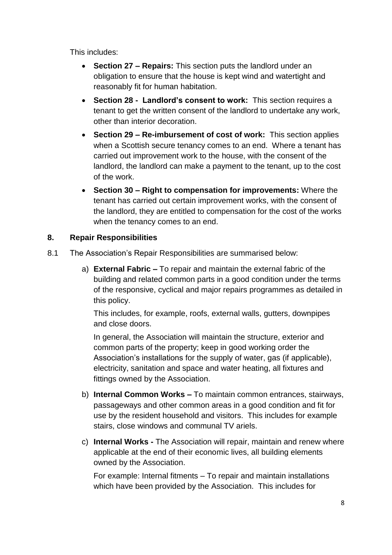This includes:

- **Section 27 – Repairs:** This section puts the landlord under an obligation to ensure that the house is kept wind and watertight and reasonably fit for human habitation.
- **Section 28 Landlord's consent to work:** This section requires a tenant to get the written consent of the landlord to undertake any work, other than interior decoration.
- **Section 29 – Re-imbursement of cost of work:** This section applies when a Scottish secure tenancy comes to an end. Where a tenant has carried out improvement work to the house, with the consent of the landlord, the landlord can make a payment to the tenant, up to the cost of the work.
- **Section 30 – Right to compensation for improvements:** Where the tenant has carried out certain improvement works, with the consent of the landlord, they are entitled to compensation for the cost of the works when the tenancy comes to an end.

## **8. Repair Responsibilities**

- 8.1 The Association's Repair Responsibilities are summarised below:
	- a) **External Fabric –** To repair and maintain the external fabric of the building and related common parts in a good condition under the terms of the responsive, cyclical and major repairs programmes as detailed in this policy.

This includes, for example, roofs, external walls, gutters, downpipes and close doors.

In general, the Association will maintain the structure, exterior and common parts of the property; keep in good working order the Association's installations for the supply of water, gas (if applicable), electricity, sanitation and space and water heating, all fixtures and fittings owned by the Association.

- b) **Internal Common Works –** To maintain common entrances, stairways, passageways and other common areas in a good condition and fit for use by the resident household and visitors. This includes for example stairs, close windows and communal TV ariels.
- c) **Internal Works -** The Association will repair, maintain and renew where applicable at the end of their economic lives, all building elements owned by the Association.

For example: Internal fitments – To repair and maintain installations which have been provided by the Association. This includes for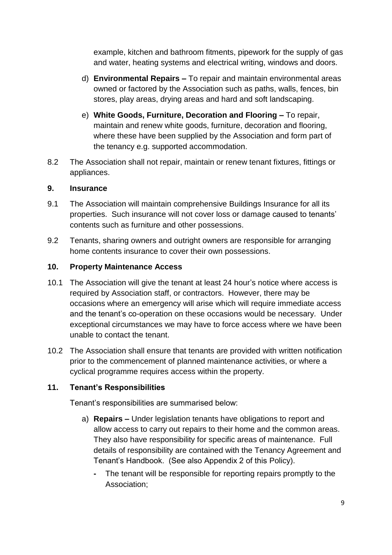example, kitchen and bathroom fitments, pipework for the supply of gas and water, heating systems and electrical writing, windows and doors.

- d) **Environmental Repairs –** To repair and maintain environmental areas owned or factored by the Association such as paths, walls, fences, bin stores, play areas, drying areas and hard and soft landscaping.
- e) **White Goods, Furniture, Decoration and Flooring –** To repair, maintain and renew white goods, furniture, decoration and flooring, where these have been supplied by the Association and form part of the tenancy e.g. supported accommodation.
- 8.2 The Association shall not repair, maintain or renew tenant fixtures, fittings or appliances.

#### **9. Insurance**

- 9.1 The Association will maintain comprehensive Buildings Insurance for all its properties. Such insurance will not cover loss or damage caused to tenants' contents such as furniture and other possessions.
- 9.2 Tenants, sharing owners and outright owners are responsible for arranging home contents insurance to cover their own possessions.

## **10. Property Maintenance Access**

- 10.1 The Association will give the tenant at least 24 hour's notice where access is required by Association staff, or contractors. However, there may be occasions where an emergency will arise which will require immediate access and the tenant's co-operation on these occasions would be necessary. Under exceptional circumstances we may have to force access where we have been unable to contact the tenant.
- 10.2 The Association shall ensure that tenants are provided with written notification prior to the commencement of planned maintenance activities, or where a cyclical programme requires access within the property.

## **11. Tenant's Responsibilities**

Tenant's responsibilities are summarised below:

- a) **Repairs –** Under legislation tenants have obligations to report and allow access to carry out repairs to their home and the common areas. They also have responsibility for specific areas of maintenance. Full details of responsibility are contained with the Tenancy Agreement and Tenant's Handbook. (See also Appendix 2 of this Policy).
	- **-** The tenant will be responsible for reporting repairs promptly to the Association;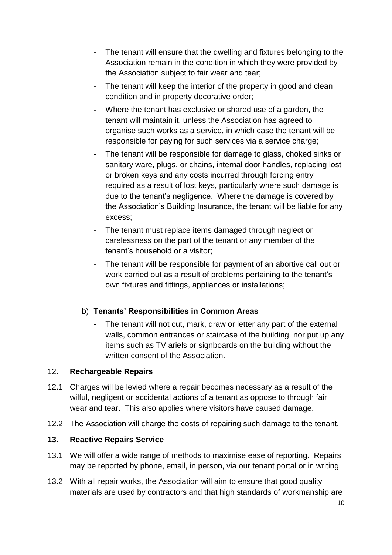- **-** The tenant will ensure that the dwelling and fixtures belonging to the Association remain in the condition in which they were provided by the Association subject to fair wear and tear;
- **-** The tenant will keep the interior of the property in good and clean condition and in property decorative order;
- **-** Where the tenant has exclusive or shared use of a garden, the tenant will maintain it, unless the Association has agreed to organise such works as a service, in which case the tenant will be responsible for paying for such services via a service charge;
- **-** The tenant will be responsible for damage to glass, choked sinks or sanitary ware, plugs, or chains, internal door handles, replacing lost or broken keys and any costs incurred through forcing entry required as a result of lost keys, particularly where such damage is due to the tenant's negligence. Where the damage is covered by the Association's Building Insurance, the tenant will be liable for any excess;
- **-** The tenant must replace items damaged through neglect or carelessness on the part of the tenant or any member of the tenant's household or a visitor;
- **-** The tenant will be responsible for payment of an abortive call out or work carried out as a result of problems pertaining to the tenant's own fixtures and fittings, appliances or installations;

## b) **Tenants' Responsibilities in Common Areas**

**-** The tenant will not cut, mark, draw or letter any part of the external walls, common entrances or staircase of the building, nor put up any items such as TV ariels or signboards on the building without the written consent of the Association

## 12. **Rechargeable Repairs**

- 12.1 Charges will be levied where a repair becomes necessary as a result of the wilful, negligent or accidental actions of a tenant as oppose to through fair wear and tear. This also applies where visitors have caused damage.
- 12.2 The Association will charge the costs of repairing such damage to the tenant.

## **13. Reactive Repairs Service**

- 13.1 We will offer a wide range of methods to maximise ease of reporting. Repairs may be reported by phone, email, in person, via our tenant portal or in writing.
- 13.2 With all repair works, the Association will aim to ensure that good quality materials are used by contractors and that high standards of workmanship are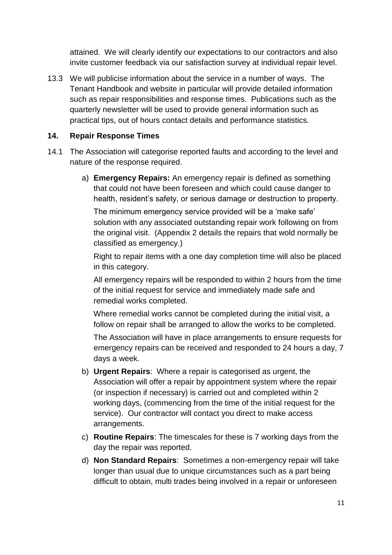attained. We will clearly identify our expectations to our contractors and also invite customer feedback via our satisfaction survey at individual repair level.

13.3 We will publicise information about the service in a number of ways. The Tenant Handbook and website in particular will provide detailed information such as repair responsibilities and response times. Publications such as the quarterly newsletter will be used to provide general information such as practical tips, out of hours contact details and performance statistics.

## **14. Repair Response Times**

- 14.1 The Association will categorise reported faults and according to the level and nature of the response required.
	- a) **Emergency Repairs:** An emergency repair is defined as something that could not have been foreseen and which could cause danger to health, resident's safety, or serious damage or destruction to property.

The minimum emergency service provided will be a 'make safe' solution with any associated outstanding repair work following on from the original visit. (Appendix 2 details the repairs that wold normally be classified as emergency.)

Right to repair items with a one day completion time will also be placed in this category.

All emergency repairs will be responded to within 2 hours from the time of the initial request for service and immediately made safe and remedial works completed.

Where remedial works cannot be completed during the initial visit, a follow on repair shall be arranged to allow the works to be completed.

The Association will have in place arrangements to ensure requests for emergency repairs can be received and responded to 24 hours a day, 7 days a week.

- b) **Urgent Repairs**: Where a repair is categorised as urgent, the Association will offer a repair by appointment system where the repair (or inspection if necessary) is carried out and completed within 2 working days, (commencing from the time of the initial request for the service). Our contractor will contact you direct to make access arrangements.
- c) **Routine Repairs**: The timescales for these is 7 working days from the day the repair was reported.
- d) **Non Standard Repairs**: Sometimes a non-emergency repair will take longer than usual due to unique circumstances such as a part being difficult to obtain, multi trades being involved in a repair or unforeseen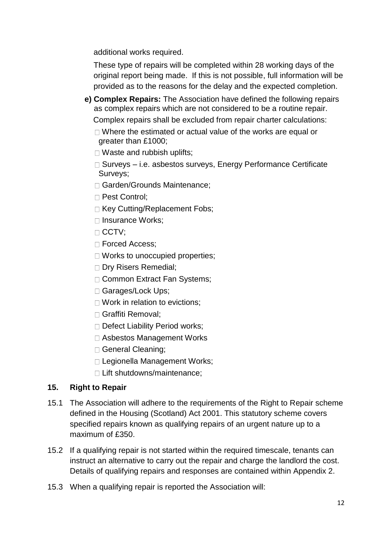additional works required.

These type of repairs will be completed within 28 working days of the original report being made. If this is not possible, full information will be provided as to the reasons for the delay and the expected completion.

- **e) Complex Repairs:** The Association have defined the following repairs as complex repairs which are not considered to be a routine repair. Complex repairs shall be excluded from repair charter calculations:
	- $\Box$  Where the estimated or actual value of the works are equal or greater than £1000;
	- □ Waste and rubbish uplifts:
	- □ Surveys i.e. asbestos surveys, Energy Performance Certificate Surveys;
	- □ Garden/Grounds Maintenance:
	- □ Pest Control;
	- □ Key Cutting/Replacement Fobs;
	- □ Insurance Works:
	- $\Box$  CCTV:
	- □ Forced Access;
	- □ Works to unoccupied properties;
	- Dry Risers Remedial;
	- □ Common Extract Fan Systems;
	- □ Garages/Lock Ups;
	- □ Work in relation to evictions;
	- Graffiti Removal;
	- Defect Liability Period works;
	- □ Asbestos Management Works
	- General Cleaning;
	- □ Legionella Management Works;
	- □ Lift shutdowns/maintenance:

## **15. Right to Repair**

- 15.1 The Association will adhere to the requirements of the Right to Repair scheme defined in the Housing (Scotland) Act 2001. This statutory scheme covers specified repairs known as qualifying repairs of an urgent nature up to a maximum of £350.
- 15.2 If a qualifying repair is not started within the required timescale, tenants can instruct an alternative to carry out the repair and charge the landlord the cost. Details of qualifying repairs and responses are contained within Appendix 2.
- 15.3 When a qualifying repair is reported the Association will: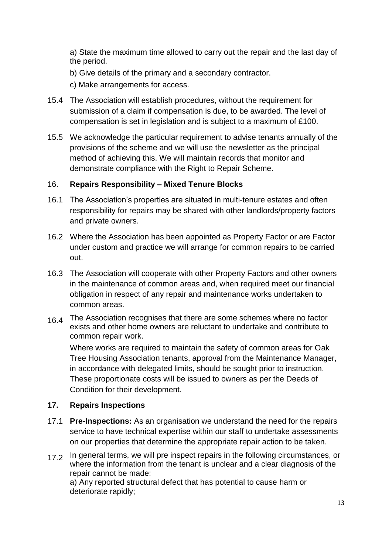a) State the maximum time allowed to carry out the repair and the last day of the period.

b) Give details of the primary and a secondary contractor.

c) Make arrangements for access.

- 15.4 The Association will establish procedures, without the requirement for submission of a claim if compensation is due, to be awarded. The level of compensation is set in legislation and is subject to a maximum of £100.
- 15.5 We acknowledge the particular requirement to advise tenants annually of the provisions of the scheme and we will use the newsletter as the principal method of achieving this. We will maintain records that monitor and demonstrate compliance with the Right to Repair Scheme.

## 16. **Repairs Responsibility – Mixed Tenure Blocks**

- 16.1 The Association's properties are situated in multi-tenure estates and often responsibility for repairs may be shared with other landlords/property factors and private owners.
- 16.2 Where the Association has been appointed as Property Factor or are Factor under custom and practice we will arrange for common repairs to be carried out.
- 16.3 The Association will cooperate with other Property Factors and other owners in the maintenance of common areas and, when required meet our financial obligation in respect of any repair and maintenance works undertaken to common areas.
- 16.4 The Association recognises that there are some schemes where no factor exists and other home owners are reluctant to undertake and contribute to common repair work.

Where works are required to maintain the safety of common areas for Oak Tree Housing Association tenants, approval from the Maintenance Manager, in accordance with delegated limits, should be sought prior to instruction. These proportionate costs will be issued to owners as per the Deeds of Condition for their development.

## **17. Repairs Inspections**

- 17.1 **Pre-Inspections:** As an organisation we understand the need for the repairs service to have technical expertise within our staff to undertake assessments on our properties that determine the appropriate repair action to be taken.
- 17.2 In general terms, we will pre inspect repairs in the following circumstances, or where the information from the tenant is unclear and a clear diagnosis of the repair cannot be made: a) Any reported structural defect that has potential to cause harm or deteriorate rapidly;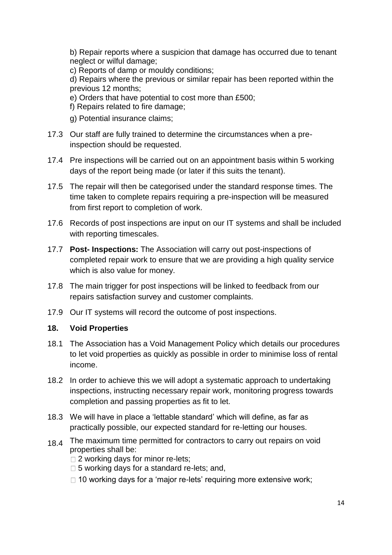b) Repair reports where a suspicion that damage has occurred due to tenant neglect or wilful damage;

c) Reports of damp or mouldy conditions;

d) Repairs where the previous or similar repair has been reported within the previous 12 months;

e) Orders that have potential to cost more than £500;

f) Repairs related to fire damage;

- g) Potential insurance claims;
- 17.3 Our staff are fully trained to determine the circumstances when a preinspection should be requested.
- 17.4 Pre inspections will be carried out on an appointment basis within 5 working days of the report being made (or later if this suits the tenant).
- 17.5 The repair will then be categorised under the standard response times. The time taken to complete repairs requiring a pre-inspection will be measured from first report to completion of work.
- 17.6 Records of post inspections are input on our IT systems and shall be included with reporting timescales.
- 17.7 **Post- Inspections:** The Association will carry out post-inspections of completed repair work to ensure that we are providing a high quality service which is also value for money.
- 17.8 The main trigger for post inspections will be linked to feedback from our repairs satisfaction survey and customer complaints.
- 17.9 Our IT systems will record the outcome of post inspections.

## **18. Void Properties**

- 18.1 The Association has a Void Management Policy which details our procedures to let void properties as quickly as possible in order to minimise loss of rental income.
- 18.2 In order to achieve this we will adopt a systematic approach to undertaking inspections, instructing necessary repair work, monitoring progress towards completion and passing properties as fit to let.
- 18.3 We will have in place a 'lettable standard' which will define, as far as practically possible, our expected standard for re-letting our houses.
- 18.4 The maximum time permitted for contractors to carry out repairs on void properties shall be:
	- □ 2 working days for minor re-lets:
	- $\Box$  5 working days for a standard re-lets; and,
	- $\Box$  10 working days for a 'major re-lets' requiring more extensive work;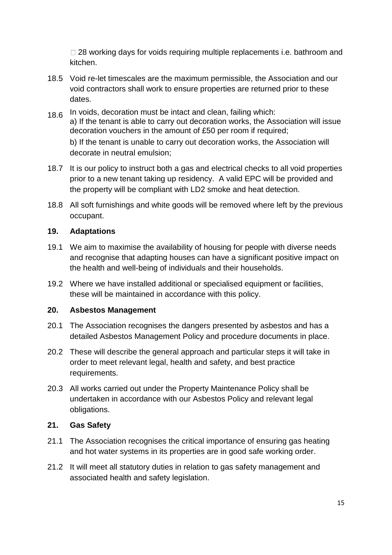$\Box$  28 working days for voids requiring multiple replacements i.e. bathroom and kitchen.

- 18.5 Void re-let timescales are the maximum permissible, the Association and our void contractors shall work to ensure properties are returned prior to these dates.
- 18.6 In voids, decoration must be intact and clean, failing which: a) If the tenant is able to carry out decoration works, the Association will issue decoration vouchers in the amount of £50 per room if required; b) If the tenant is unable to carry out decoration works, the Association will decorate in neutral emulsion;
- 18.7 It is our policy to instruct both a gas and electrical checks to all void properties prior to a new tenant taking up residency. A valid EPC will be provided and the property will be compliant with LD2 smoke and heat detection.
- 18.8 All soft furnishings and white goods will be removed where left by the previous occupant.

## **19. Adaptations**

- 19.1 We aim to maximise the availability of housing for people with diverse needs and recognise that adapting houses can have a significant positive impact on the health and well-being of individuals and their households.
- 19.2 Where we have installed additional or specialised equipment or facilities, these will be maintained in accordance with this policy.

## **20. Asbestos Management**

- 20.1 The Association recognises the dangers presented by asbestos and has a detailed Asbestos Management Policy and procedure documents in place.
- 20.2 These will describe the general approach and particular steps it will take in order to meet relevant legal, health and safety, and best practice requirements.
- 20.3 All works carried out under the Property Maintenance Policy shall be undertaken in accordance with our Asbestos Policy and relevant legal obligations.

## **21. Gas Safety**

- 21.1 The Association recognises the critical importance of ensuring gas heating and hot water systems in its properties are in good safe working order.
- 21.2 It will meet all statutory duties in relation to gas safety management and associated health and safety legislation.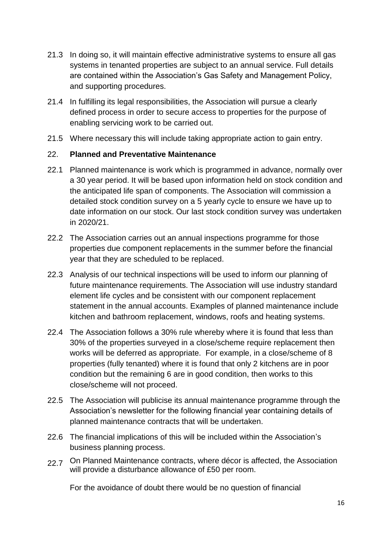- 21.3 In doing so, it will maintain effective administrative systems to ensure all gas systems in tenanted properties are subject to an annual service. Full details are contained within the Association's Gas Safety and Management Policy, and supporting procedures.
- 21.4 In fulfilling its legal responsibilities, the Association will pursue a clearly defined process in order to secure access to properties for the purpose of enabling servicing work to be carried out.
- 21.5 Where necessary this will include taking appropriate action to gain entry.

## 22. **Planned and Preventative Maintenance**

- 22.1 Planned maintenance is work which is programmed in advance, normally over a 30 year period. It will be based upon information held on stock condition and the anticipated life span of components. The Association will commission a detailed stock condition survey on a 5 yearly cycle to ensure we have up to date information on our stock. Our last stock condition survey was undertaken in 2020/21.
- 22.2 The Association carries out an annual inspections programme for those properties due component replacements in the summer before the financial year that they are scheduled to be replaced.
- 22.3 Analysis of our technical inspections will be used to inform our planning of future maintenance requirements. The Association will use industry standard element life cycles and be consistent with our component replacement statement in the annual accounts. Examples of planned maintenance include kitchen and bathroom replacement, windows, roofs and heating systems.
- 22.4 The Association follows a 30% rule whereby where it is found that less than 30% of the properties surveyed in a close/scheme require replacement then works will be deferred as appropriate. For example, in a close/scheme of 8 properties (fully tenanted) where it is found that only 2 kitchens are in poor condition but the remaining 6 are in good condition, then works to this close/scheme will not proceed.
- 22.5 The Association will publicise its annual maintenance programme through the Association's newsletter for the following financial year containing details of planned maintenance contracts that will be undertaken.
- 22.6 The financial implications of this will be included within the Association's business planning process.
- 22.7 On Planned Maintenance contracts, where décor is affected, the Association will provide a disturbance allowance of £50 per room.

For the avoidance of doubt there would be no question of financial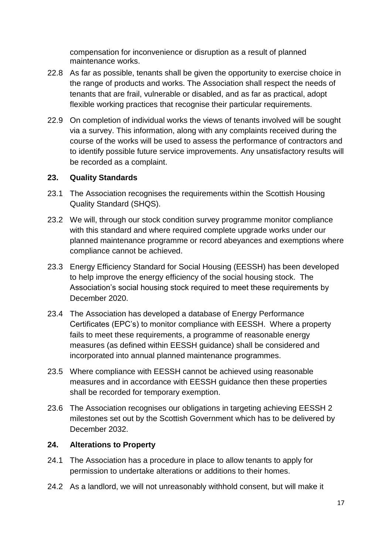compensation for inconvenience or disruption as a result of planned maintenance works.

- 22.8 As far as possible, tenants shall be given the opportunity to exercise choice in the range of products and works. The Association shall respect the needs of tenants that are frail, vulnerable or disabled, and as far as practical, adopt flexible working practices that recognise their particular requirements.
- 22.9 On completion of individual works the views of tenants involved will be sought via a survey. This information, along with any complaints received during the course of the works will be used to assess the performance of contractors and to identify possible future service improvements. Any unsatisfactory results will be recorded as a complaint.

## **23. Quality Standards**

- 23.1 The Association recognises the requirements within the Scottish Housing Quality Standard (SHQS).
- 23.2 We will, through our stock condition survey programme monitor compliance with this standard and where required complete upgrade works under our planned maintenance programme or record abeyances and exemptions where compliance cannot be achieved.
- 23.3 Energy Efficiency Standard for Social Housing (EESSH) has been developed to help improve the energy efficiency of the social housing stock. The Association's social housing stock required to meet these requirements by December 2020.
- 23.4 The Association has developed a database of Energy Performance Certificates (EPC's) to monitor compliance with EESSH. Where a property fails to meet these requirements, a programme of reasonable energy measures (as defined within EESSH guidance) shall be considered and incorporated into annual planned maintenance programmes.
- 23.5 Where compliance with EESSH cannot be achieved using reasonable measures and in accordance with EESSH guidance then these properties shall be recorded for temporary exemption.
- 23.6 The Association recognises our obligations in targeting achieving EESSH 2 milestones set out by the Scottish Government which has to be delivered by December 2032.

#### **24. Alterations to Property**

- 24.1 The Association has a procedure in place to allow tenants to apply for permission to undertake alterations or additions to their homes.
- 24.2 As a landlord, we will not unreasonably withhold consent, but will make it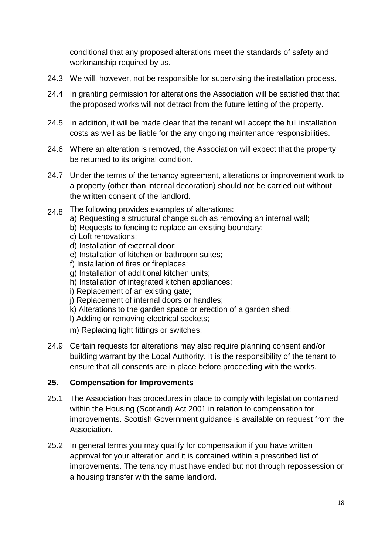conditional that any proposed alterations meet the standards of safety and workmanship required by us.

- 24.3 We will, however, not be responsible for supervising the installation process.
- 24.4 In granting permission for alterations the Association will be satisfied that that the proposed works will not detract from the future letting of the property.
- 24.5 In addition, it will be made clear that the tenant will accept the full installation costs as well as be liable for the any ongoing maintenance responsibilities.
- 24.6 Where an alteration is removed, the Association will expect that the property be returned to its original condition.
- 24.7 Under the terms of the tenancy agreement, alterations or improvement work to a property (other than internal decoration) should not be carried out without the written consent of the landlord.
- 24.8 The following provides examples of alterations: a) Requesting a structural change such as removing an internal wall; b) Requests to fencing to replace an existing boundary; c) Loft renovations; d) Installation of external door; e) Installation of kitchen or bathroom suites; f) Installation of fires or fireplaces; g) Installation of additional kitchen units; h) Installation of integrated kitchen appliances; i) Replacement of an existing gate; j) Replacement of internal doors or handles;
	- k) Alterations to the garden space or erection of a garden shed;
	- l) Adding or removing electrical sockets;
	- m) Replacing light fittings or switches;
- 24.9 Certain requests for alterations may also require planning consent and/or building warrant by the Local Authority. It is the responsibility of the tenant to ensure that all consents are in place before proceeding with the works.

#### **25. Compensation for Improvements**

- 25.1 The Association has procedures in place to comply with legislation contained within the Housing (Scotland) Act 2001 in relation to compensation for improvements. Scottish Government guidance is available on request from the Association.
- 25.2 In general terms you may qualify for compensation if you have written approval for your alteration and it is contained within a prescribed list of improvements. The tenancy must have ended but not through repossession or a housing transfer with the same landlord.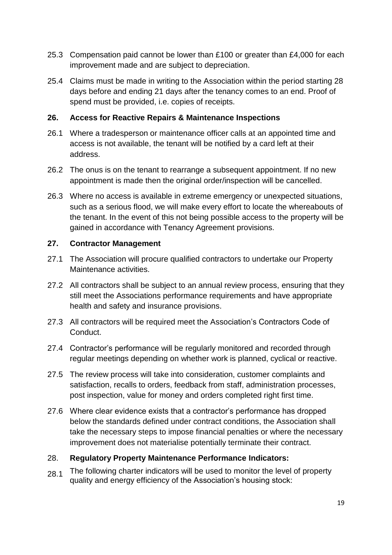- 25.3 Compensation paid cannot be lower than £100 or greater than £4,000 for each improvement made and are subject to depreciation.
- 25.4 Claims must be made in writing to the Association within the period starting 28 days before and ending 21 days after the tenancy comes to an end. Proof of spend must be provided, i.e. copies of receipts.

## **26. Access for Reactive Repairs & Maintenance Inspections**

- 26.1 Where a tradesperson or maintenance officer calls at an appointed time and access is not available, the tenant will be notified by a card left at their address.
- 26.2 The onus is on the tenant to rearrange a subsequent appointment. If no new appointment is made then the original order/inspection will be cancelled.
- 26.3 Where no access is available in extreme emergency or unexpected situations, such as a serious flood, we will make every effort to locate the whereabouts of the tenant. In the event of this not being possible access to the property will be gained in accordance with Tenancy Agreement provisions.

## **27. Contractor Management**

- 27.1 The Association will procure qualified contractors to undertake our Property Maintenance activities.
- 27.2 All contractors shall be subject to an annual review process, ensuring that they still meet the Associations performance requirements and have appropriate health and safety and insurance provisions.
- 27.3 All contractors will be required meet the Association's Contractors Code of Conduct.
- 27.4 Contractor's performance will be regularly monitored and recorded through regular meetings depending on whether work is planned, cyclical or reactive.
- 27.5 The review process will take into consideration, customer complaints and satisfaction, recalls to orders, feedback from staff, administration processes, post inspection, value for money and orders completed right first time.
- 27.6 Where clear evidence exists that a contractor's performance has dropped below the standards defined under contract conditions, the Association shall take the necessary steps to impose financial penalties or where the necessary improvement does not materialise potentially terminate their contract.

## 28. **Regulatory Property Maintenance Performance Indicators:**

 $28.1$  The following charter indicators will be used to monitor the level of property quality and energy efficiency of the Association's housing stock: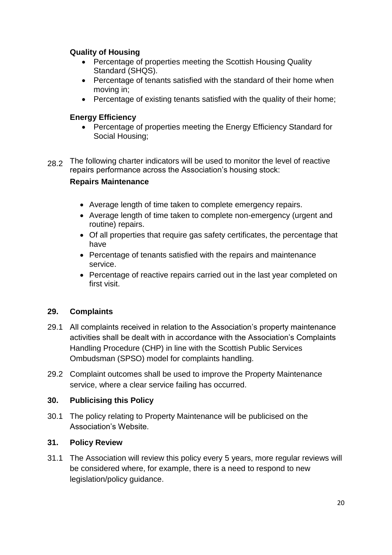## **Quality of Housing**

- Percentage of properties meeting the Scottish Housing Quality Standard (SHQS).
- Percentage of tenants satisfied with the standard of their home when moving in;
- Percentage of existing tenants satisfied with the quality of their home;

## **Energy Efficiency**

- Percentage of properties meeting the Energy Efficiency Standard for Social Housing;
- 28.2 The following charter indicators will be used to monitor the level of reactive repairs performance across the Association's housing stock:

## **Repairs Maintenance**

- Average length of time taken to complete emergency repairs.
- Average length of time taken to complete non-emergency (urgent and routine) repairs.
- Of all properties that require gas safety certificates, the percentage that have
- Percentage of tenants satisfied with the repairs and maintenance service.
- Percentage of reactive repairs carried out in the last year completed on first visit.

## **29. Complaints**

- 29.1 All complaints received in relation to the Association's property maintenance activities shall be dealt with in accordance with the Association's Complaints Handling Procedure (CHP) in line with the Scottish Public Services Ombudsman (SPSO) model for complaints handling.
- 29.2 Complaint outcomes shall be used to improve the Property Maintenance service, where a clear service failing has occurred.

## **30. Publicising this Policy**

30.1 The policy relating to Property Maintenance will be publicised on the Association's Website.

## **31. Policy Review**

31.1 The Association will review this policy every 5 years, more regular reviews will be considered where, for example, there is a need to respond to new legislation/policy guidance.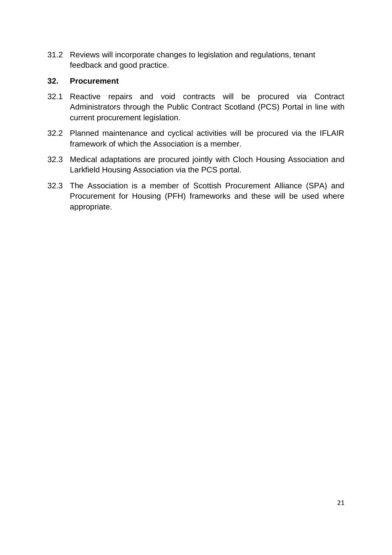31.2 Reviews will incorporate changes to legislation and regulations, tenant feedback and good practice.

## **32. Procurement**

- 32.1 Reactive repairs and void contracts will be procured via Contract Administrators through the Public Contract Scotland (PCS) Portal in line with current procurement legislation.
- 32.2 Planned maintenance and cyclical activities will be procured via the IFLAIR framework of which the Association is a member.
- 32.3 Medical adaptations are procured jointly with Cloch Housing Association and Larkfield Housing Association via the PCS portal.
- 32.3 The Association is a member of Scottish Procurement Alliance (SPA) and Procurement for Housing (PFH) frameworks and these will be used where appropriate.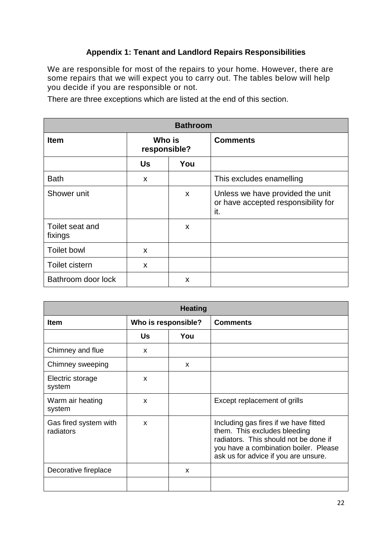## **Appendix 1: Tenant and Landlord Repairs Responsibilities**

We are responsible for most of the repairs to your home. However, there are some repairs that we will expect you to carry out. The tables below will help you decide if you are responsible or not.

There are three exceptions which are listed at the end of this section.

| <b>Bathroom</b>            |                        |     |                                                                                |  |  |  |
|----------------------------|------------------------|-----|--------------------------------------------------------------------------------|--|--|--|
| <b>Item</b>                | Who is<br>responsible? |     | <b>Comments</b>                                                                |  |  |  |
|                            | Us                     | You |                                                                                |  |  |  |
| <b>Bath</b>                | X                      |     | This excludes enamelling                                                       |  |  |  |
| Shower unit                |                        | X   | Unless we have provided the unit<br>or have accepted responsibility for<br>it. |  |  |  |
| Toilet seat and<br>fixings |                        | X   |                                                                                |  |  |  |
| <b>Toilet bowl</b>         | X                      |     |                                                                                |  |  |  |
| Toilet cistern             | $\mathbf x$            |     |                                                                                |  |  |  |
| Bathroom door lock         |                        | X   |                                                                                |  |  |  |

| <b>Heating</b>                     |    |                                        |                                                                                                                                                                                                 |  |  |  |
|------------------------------------|----|----------------------------------------|-------------------------------------------------------------------------------------------------------------------------------------------------------------------------------------------------|--|--|--|
| <b>Item</b>                        |    | Who is responsible?<br><b>Comments</b> |                                                                                                                                                                                                 |  |  |  |
|                                    | Us | You                                    |                                                                                                                                                                                                 |  |  |  |
| Chimney and flue                   | X  |                                        |                                                                                                                                                                                                 |  |  |  |
| Chimney sweeping                   |    | X                                      |                                                                                                                                                                                                 |  |  |  |
| Electric storage<br>system         | X  |                                        |                                                                                                                                                                                                 |  |  |  |
| Warm air heating<br>system         | X  |                                        | Except replacement of grills                                                                                                                                                                    |  |  |  |
| Gas fired system with<br>radiators | X  |                                        | Including gas fires if we have fitted<br>them. This excludes bleeding<br>radiators. This should not be done if<br>you have a combination boiler. Please<br>ask us for advice if you are unsure. |  |  |  |
| Decorative fireplace<br>X          |    |                                        |                                                                                                                                                                                                 |  |  |  |
|                                    |    |                                        |                                                                                                                                                                                                 |  |  |  |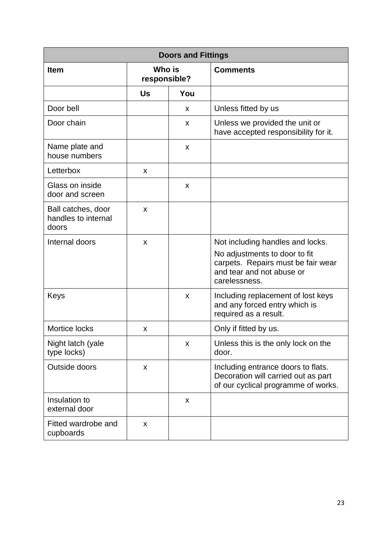| <b>Doors and Fittings</b>                          |                        |     |                                                                                                                                                       |  |  |
|----------------------------------------------------|------------------------|-----|-------------------------------------------------------------------------------------------------------------------------------------------------------|--|--|
| <b>Item</b>                                        | Who is<br>responsible? |     | <b>Comments</b>                                                                                                                                       |  |  |
|                                                    | Us                     | You |                                                                                                                                                       |  |  |
| Door bell                                          |                        | X   | Unless fitted by us                                                                                                                                   |  |  |
| Door chain                                         |                        | X   | Unless we provided the unit or<br>have accepted responsibility for it.                                                                                |  |  |
| Name plate and<br>house numbers                    |                        | X   |                                                                                                                                                       |  |  |
| Letterbox                                          | X                      |     |                                                                                                                                                       |  |  |
| Glass on inside<br>door and screen                 |                        | X   |                                                                                                                                                       |  |  |
| Ball catches, door<br>handles to internal<br>doors | X                      |     |                                                                                                                                                       |  |  |
| Internal doors                                     | X                      |     | Not including handles and locks.<br>No adjustments to door to fit<br>carpets. Repairs must be fair wear<br>and tear and not abuse or<br>carelessness. |  |  |
| Keys                                               |                        | X   | Including replacement of lost keys<br>and any forced entry which is<br>required as a result.                                                          |  |  |
| Mortice locks                                      | X                      |     | Only if fitted by us.                                                                                                                                 |  |  |
| Night latch (yale<br>type locks)                   |                        | x   | Unless this is the only lock on the<br>door.                                                                                                          |  |  |
| Outside doors                                      | X                      |     | Including entrance doors to flats.<br>Decoration will carried out as part<br>of our cyclical programme of works.                                      |  |  |
| Insulation to<br>external door                     |                        | X   |                                                                                                                                                       |  |  |
| Fitted wardrobe and<br>cupboards                   | X                      |     |                                                                                                                                                       |  |  |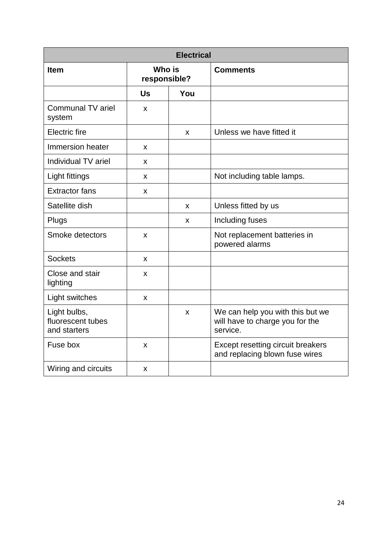| <b>Electrical</b>                                 |                        |     |                                                                                 |  |  |
|---------------------------------------------------|------------------------|-----|---------------------------------------------------------------------------------|--|--|
| <b>Item</b>                                       | Who is<br>responsible? |     | <b>Comments</b>                                                                 |  |  |
|                                                   | Us                     | You |                                                                                 |  |  |
| Communal TV ariel<br>system                       | X                      |     |                                                                                 |  |  |
| <b>Electric</b> fire                              |                        | X   | Unless we have fitted it                                                        |  |  |
| Immersion heater                                  | X                      |     |                                                                                 |  |  |
| Individual TV ariel                               | X                      |     |                                                                                 |  |  |
| Light fittings                                    | X                      |     | Not including table lamps.                                                      |  |  |
| <b>Extractor fans</b>                             | X                      |     |                                                                                 |  |  |
| Satellite dish                                    |                        | X   | Unless fitted by us                                                             |  |  |
| Plugs                                             |                        | X   | Including fuses                                                                 |  |  |
| Smoke detectors                                   | X                      |     | Not replacement batteries in<br>powered alarms                                  |  |  |
| <b>Sockets</b>                                    | X                      |     |                                                                                 |  |  |
| Close and stair<br>lighting                       | X                      |     |                                                                                 |  |  |
| Light switches                                    | X                      |     |                                                                                 |  |  |
| Light bulbs,<br>fluorescent tubes<br>and starters |                        | X   | We can help you with this but we<br>will have to charge you for the<br>service. |  |  |
| Fuse box                                          | X                      |     | Except resetting circuit breakers<br>and replacing blown fuse wires             |  |  |
| Wiring and circuits                               | X                      |     |                                                                                 |  |  |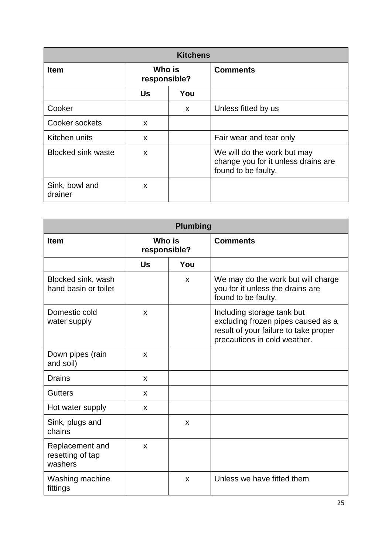| <b>Kitchens</b>                       |           |                 |                                                                                           |  |  |  |
|---------------------------------------|-----------|-----------------|-------------------------------------------------------------------------------------------|--|--|--|
| Who is<br><b>Item</b><br>responsible? |           | <b>Comments</b> |                                                                                           |  |  |  |
|                                       | <b>Us</b> | You             |                                                                                           |  |  |  |
| Cooker                                |           | X               | Unless fitted by us                                                                       |  |  |  |
| Cooker sockets                        | X         |                 |                                                                                           |  |  |  |
| Kitchen units                         | X         |                 | Fair wear and tear only                                                                   |  |  |  |
| <b>Blocked sink waste</b>             | X         |                 | We will do the work but may<br>change you for it unless drains are<br>found to be faulty. |  |  |  |
| Sink, bowl and<br>drainer             | X         |                 |                                                                                           |  |  |  |

| <b>Plumbing</b>                                |                        |     |                                                                                                                                           |  |  |
|------------------------------------------------|------------------------|-----|-------------------------------------------------------------------------------------------------------------------------------------------|--|--|
| <b>Item</b>                                    | Who is<br>responsible? |     | <b>Comments</b>                                                                                                                           |  |  |
|                                                | Us                     | You |                                                                                                                                           |  |  |
| Blocked sink, wash<br>hand basin or toilet     |                        | X   | We may do the work but will charge<br>you for it unless the drains are<br>found to be faulty.                                             |  |  |
| Domestic cold<br>water supply                  | X                      |     | Including storage tank but<br>excluding frozen pipes caused as a<br>result of your failure to take proper<br>precautions in cold weather. |  |  |
| Down pipes (rain<br>and soil)                  | $\mathsf{x}$           |     |                                                                                                                                           |  |  |
| <b>Drains</b>                                  | X                      |     |                                                                                                                                           |  |  |
| <b>Gutters</b>                                 | X                      |     |                                                                                                                                           |  |  |
| Hot water supply                               | X                      |     |                                                                                                                                           |  |  |
| Sink, plugs and<br>chains                      |                        | X   |                                                                                                                                           |  |  |
| Replacement and<br>resetting of tap<br>washers | X                      |     |                                                                                                                                           |  |  |
| Washing machine<br>fittings                    |                        | X   | Unless we have fitted them                                                                                                                |  |  |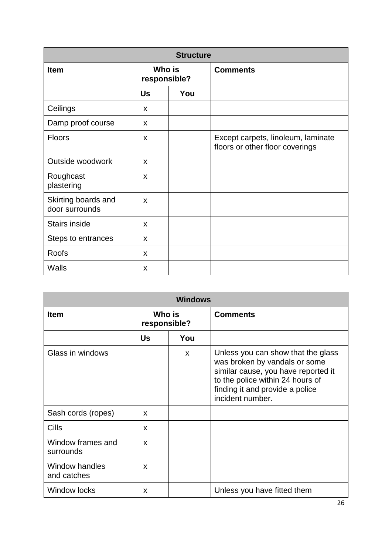| <b>Structure</b>                      |                        |     |                                                                       |  |  |
|---------------------------------------|------------------------|-----|-----------------------------------------------------------------------|--|--|
| <b>Item</b>                           | Who is<br>responsible? |     | <b>Comments</b>                                                       |  |  |
|                                       | <b>Us</b>              | You |                                                                       |  |  |
| Ceilings                              | X                      |     |                                                                       |  |  |
| Damp proof course                     | X                      |     |                                                                       |  |  |
| Floors                                | X                      |     | Except carpets, linoleum, laminate<br>floors or other floor coverings |  |  |
| Outside woodwork                      | X                      |     |                                                                       |  |  |
| Roughcast<br>plastering               | X                      |     |                                                                       |  |  |
| Skirting boards and<br>door surrounds | X                      |     |                                                                       |  |  |
| <b>Stairs inside</b>                  | X                      |     |                                                                       |  |  |
| Steps to entrances                    | X                      |     |                                                                       |  |  |
| <b>Roofs</b>                          | X                      |     |                                                                       |  |  |
| Walls                                 | X                      |     |                                                                       |  |  |

| <b>Windows</b>                 |                        |     |                                                                                                                                                                                                       |  |  |  |
|--------------------------------|------------------------|-----|-------------------------------------------------------------------------------------------------------------------------------------------------------------------------------------------------------|--|--|--|
| <b>Item</b>                    | Who is<br>responsible? |     | <b>Comments</b>                                                                                                                                                                                       |  |  |  |
|                                | Us                     | You |                                                                                                                                                                                                       |  |  |  |
| Glass in windows               |                        | X   | Unless you can show that the glass<br>was broken by vandals or some<br>similar cause, you have reported it<br>to the police within 24 hours of<br>finding it and provide a police<br>incident number. |  |  |  |
| Sash cords (ropes)             | X                      |     |                                                                                                                                                                                                       |  |  |  |
| Cills                          | <b>X</b>               |     |                                                                                                                                                                                                       |  |  |  |
| Window frames and<br>surrounds | X                      |     |                                                                                                                                                                                                       |  |  |  |
| Window handles<br>and catches  | X                      |     |                                                                                                                                                                                                       |  |  |  |
| <b>Window locks</b>            | X                      |     | Unless you have fitted them                                                                                                                                                                           |  |  |  |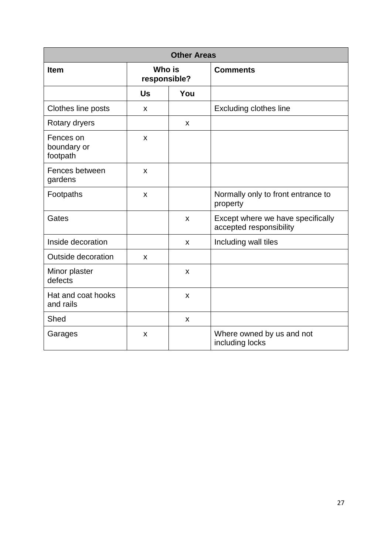| <b>Other Areas</b>                   |                           |     |                                                              |  |  |
|--------------------------------------|---------------------------|-----|--------------------------------------------------------------|--|--|
| <b>Item</b>                          | Who is<br>responsible?    |     | <b>Comments</b>                                              |  |  |
|                                      | Us                        | You |                                                              |  |  |
| Clothes line posts                   | x                         |     | <b>Excluding clothes line</b>                                |  |  |
| Rotary dryers                        |                           | X   |                                                              |  |  |
| Fences on<br>boundary or<br>footpath | $\boldsymbol{\mathsf{x}}$ |     |                                                              |  |  |
| Fences between<br>gardens            | $\mathsf{x}$              |     |                                                              |  |  |
| Footpaths                            | X                         |     | Normally only to front entrance to<br>property               |  |  |
| Gates                                |                           | X   | Except where we have specifically<br>accepted responsibility |  |  |
| Inside decoration                    |                           | X   | Including wall tiles                                         |  |  |
| <b>Outside decoration</b>            | $\boldsymbol{\mathsf{x}}$ |     |                                                              |  |  |
| Minor plaster<br>defects             |                           | X   |                                                              |  |  |
| Hat and coat hooks<br>and rails      |                           | X   |                                                              |  |  |
| Shed                                 |                           | X   |                                                              |  |  |
| Garages                              | X                         |     | Where owned by us and not<br>including locks                 |  |  |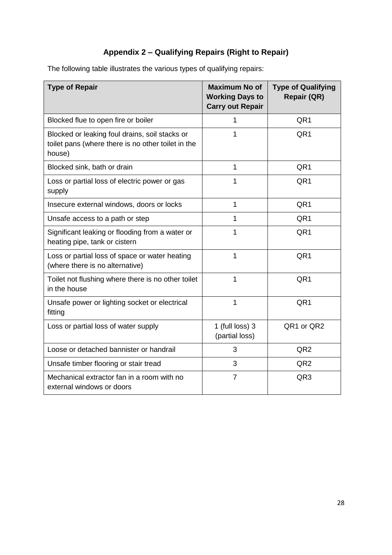## **Appendix 2 – Qualifying Repairs (Right to Repair)**

The following table illustrates the various types of qualifying repairs:

| <b>Type of Repair</b>                                                                                          | <b>Maximum No of</b><br><b>Working Days to</b><br><b>Carry out Repair</b> | <b>Type of Qualifying</b><br><b>Repair (QR)</b> |
|----------------------------------------------------------------------------------------------------------------|---------------------------------------------------------------------------|-------------------------------------------------|
| Blocked flue to open fire or boiler                                                                            | 1                                                                         | QR1                                             |
| Blocked or leaking foul drains, soil stacks or<br>toilet pans (where there is no other toilet in the<br>house) | 1                                                                         | QR <sub>1</sub>                                 |
| Blocked sink, bath or drain                                                                                    | 1                                                                         | QR <sub>1</sub>                                 |
| Loss or partial loss of electric power or gas<br>supply                                                        | 1                                                                         | QR1                                             |
| Insecure external windows, doors or locks                                                                      | 1                                                                         | QR1                                             |
| Unsafe access to a path or step                                                                                | 1                                                                         | QR <sub>1</sub>                                 |
| Significant leaking or flooding from a water or<br>heating pipe, tank or cistern                               | 1                                                                         | QR <sub>1</sub>                                 |
| Loss or partial loss of space or water heating<br>(where there is no alternative)                              | 1                                                                         | QR1                                             |
| Toilet not flushing where there is no other toilet<br>in the house                                             | 1                                                                         | QR1                                             |
| Unsafe power or lighting socket or electrical<br>fitting                                                       | 1                                                                         | QR1                                             |
| Loss or partial loss of water supply                                                                           | 1 (full loss) 3<br>(partial loss)                                         | QR1 or QR2                                      |
| Loose or detached bannister or handrail                                                                        | 3                                                                         | QR <sub>2</sub>                                 |
| Unsafe timber flooring or stair tread                                                                          | 3                                                                         | QR <sub>2</sub>                                 |
| Mechanical extractor fan in a room with no<br>external windows or doors                                        | $\overline{7}$                                                            | QR <sub>3</sub>                                 |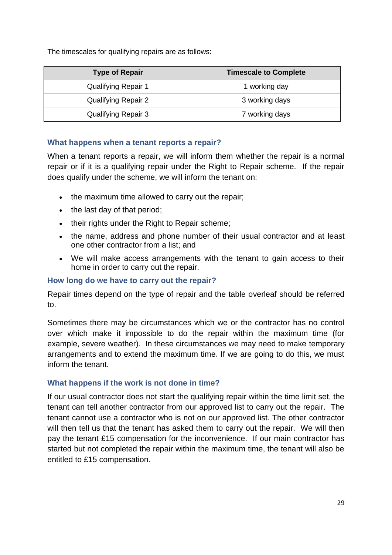The timescales for qualifying repairs are as follows:

| <b>Type of Repair</b>      | <b>Timescale to Complete</b> |
|----------------------------|------------------------------|
| <b>Qualifying Repair 1</b> | 1 working day                |
| <b>Qualifying Repair 2</b> | 3 working days               |
| <b>Qualifying Repair 3</b> | 7 working days               |

#### **What happens when a tenant reports a repair?**

When a tenant reports a repair, we will inform them whether the repair is a normal repair or if it is a qualifying repair under the Right to Repair scheme. If the repair does qualify under the scheme, we will inform the tenant on:

- the maximum time allowed to carry out the repair;
- the last day of that period;
- their rights under the Right to Repair scheme;
- the name, address and phone number of their usual contractor and at least one other contractor from a list; and
- We will make access arrangements with the tenant to gain access to their home in order to carry out the repair.

## **How long do we have to carry out the repair?**

Repair times depend on the type of repair and the table overleaf should be referred to.

Sometimes there may be circumstances which we or the contractor has no control over which make it impossible to do the repair within the maximum time (for example, severe weather). In these circumstances we may need to make temporary arrangements and to extend the maximum time. If we are going to do this, we must inform the tenant.

## **What happens if the work is not done in time?**

If our usual contractor does not start the qualifying repair within the time limit set, the tenant can tell another contractor from our approved list to carry out the repair. The tenant cannot use a contractor who is not on our approved list. The other contractor will then tell us that the tenant has asked them to carry out the repair. We will then pay the tenant £15 compensation for the inconvenience. If our main contractor has started but not completed the repair within the maximum time, the tenant will also be entitled to £15 compensation.